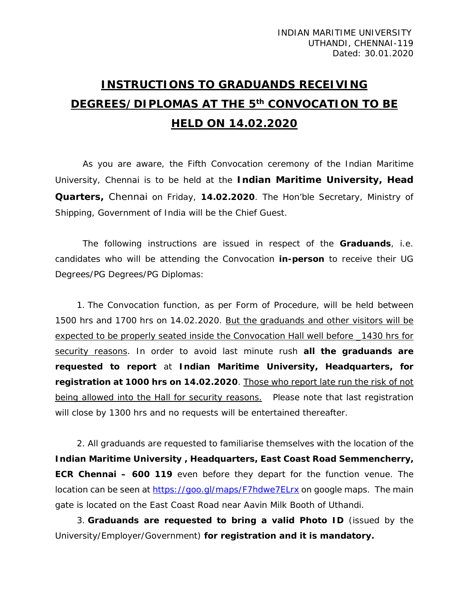## **INSTRUCTIONS TO GRADUANDS RECEIVING DEGREES/DIPLOMAS AT THE 5th CONVOCATION TO BE HELD ON 14.02.2020**

As you are aware, the Fifth Convocation ceremony of the Indian Maritime University, Chennai is to be held at the **Indian Maritime University, Head Quarters,** Chennai on Friday, **14.02.2020**. The Hon'ble Secretary, Ministry of Shipping, Government of India will be the Chief Guest.

The following instructions are issued in respect of the **Graduands**, i.e. candidates who will be attending the Convocation **in-person** to receive their UG Degrees/PG Degrees/PG Diplomas:

1. The Convocation function, as per Form of Procedure, will be held between 1500 hrs and 1700 hrs on 14.02.2020. But the graduands and other visitors will be expected to be properly seated inside the Convocation Hall well before \_1430 hrs for security reasons. In order to avoid last minute rush **all the graduands are requested to report** at **Indian Maritime University, Headquarters, for registration at 1000 hrs on 14.02.2020**. Those who report late run the risk of not being allowed into the Hall for security reasons. Please note that last registration will close by 1300 hrs and no requests will be entertained thereafter.

2. All graduands are requested to familiarise themselves with the location of the **Indian Maritime University , Headquarters, East Coast Road Semmencherry, ECR Chennai – 600 119** even before they depart for the function venue. The location can be seen at<https://goo.gl/maps/F7hdwe7ELrx> on google maps. The main gate is located on the East Coast Road near Aavin Milk Booth of Uthandi.

3. **Graduands are requested to bring a valid Photo ID** (issued by the University/Employer/Government) **for registration and it is mandatory.**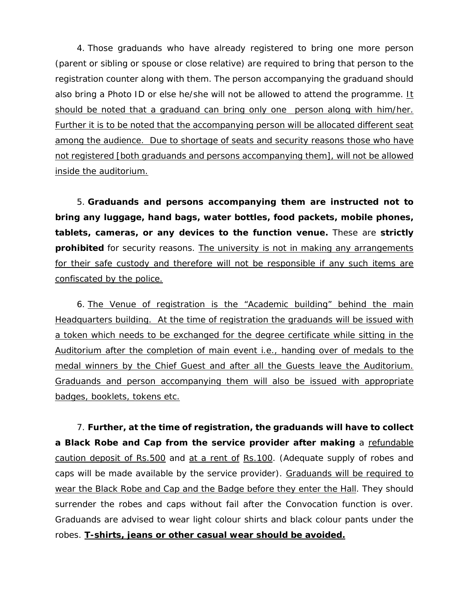4. Those graduands who have already registered to bring one more person (parent or sibling or spouse or close relative) are required to bring that person to the registration counter along with them. The person accompanying the graduand should also bring a Photo ID or else he/she will not be allowed to attend the programme. It should be noted that a graduand can bring only one person along with him/her. Further it is to be noted that the accompanying person will be allocated different seat among the audience. Due to shortage of seats and security reasons those who have not registered [both graduands and persons accompanying them], will not be allowed inside the auditorium.

5. **Graduands and persons accompanying them are instructed not to bring any luggage, hand bags, water bottles, food packets, mobile phones, tablets, cameras, or any devices to the function venue.** These are **strictly prohibited** for security reasons. The university is not in making any arrangements for their safe custody and therefore will not be responsible if any such items are confiscated by the police.

6. The Venue of registration is the "Academic building" behind the main Headquarters building. At the time of registration the graduands will be issued with a token which needs to be exchanged for the degree certificate while sitting in the Auditorium after the completion of main event i.e., handing over of medals to the medal winners by the Chief Guest and after all the Guests leave the Auditorium. Graduands and person accompanying them will also be issued with appropriate badges, booklets, tokens etc.

7. **Further, at the time of registration, the graduands will have to collect a Black Robe and Cap from the service provider after making** a refundable caution deposit of Rs.500 and at a rent of Rs.100. (Adequate supply of robes and caps will be made available by the service provider). Graduands will be required to wear the Black Robe and Cap and the Badge before they enter the Hall. They should surrender the robes and caps without fail after the Convocation function is over. Graduands are advised to wear light colour shirts and black colour pants under the robes. **T-shirts, jeans or other casual wear should be avoided.**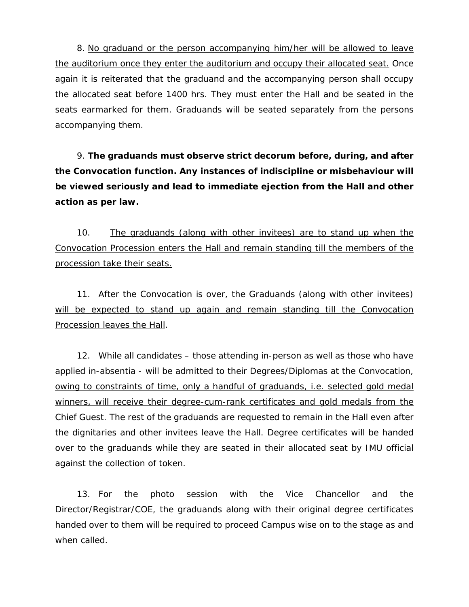8. No graduand or the person accompanying him/her will be allowed to leave the auditorium once they enter the auditorium and occupy their allocated seat. Once again it is reiterated that the graduand and the accompanying person shall occupy the allocated seat before 1400 hrs. They must enter the Hall and be seated in the seats earmarked for them. Graduands will be seated separately from the persons accompanying them.

9. **The graduands must observe strict decorum before, during, and after the Convocation function. Any instances of indiscipline or misbehaviour will be viewed seriously and lead to immediate ejection from the Hall and other action as per law.**

10. The graduands (along with other invitees) are to stand up when the Convocation Procession enters the Hall and remain standing till the members of the procession take their seats.

11. After the Convocation is over, the Graduands (along with other invitees) will be expected to stand up again and remain standing till the Convocation Procession leaves the Hall.

12. While all candidates – those attending in-person as well as those who have applied in-absentia - will be *admitted* to their Degrees/Diplomas at the Convocation, owing to constraints of time, only a handful of graduands, i.e. selected gold medal winners, will receive their degree-cum-rank certificates and gold medals from the Chief Guest. The rest of the graduands are requested to remain in the Hall even after the dignitaries and other invitees leave the Hall. Degree certificates will be handed over to the graduands while they are seated in their allocated seat by IMU official against the collection of token.

13. For the photo session with the Vice Chancellor and the Director/Registrar/COE, the graduands along with their original degree certificates handed over to them will be required to proceed Campus wise on to the stage as and when called.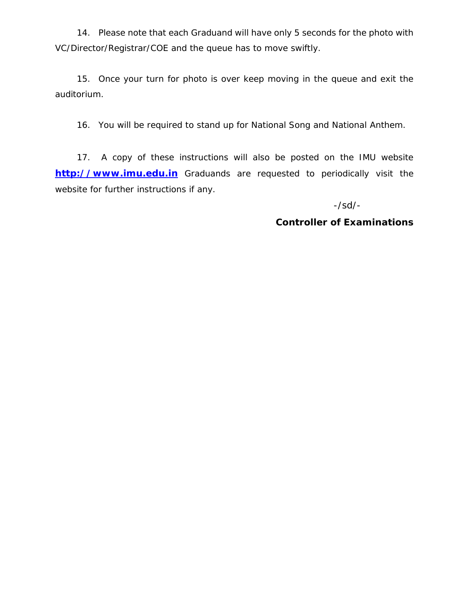14. Please note that each Graduand will have only 5 seconds for the photo with VC/Director/Registrar/COE and the queue has to move swiftly.

15. Once your turn for photo is over keep moving in the queue and exit the auditorium.

16. You will be required to stand up for National Song and National Anthem.

17. A copy of these instructions will also be posted on the IMU website **[http://www.imu.edu.in](http://www.imu.edu.in/)** Graduands are requested to periodically visit the website for further instructions if any.

-/sd/-

**Controller of Examinations**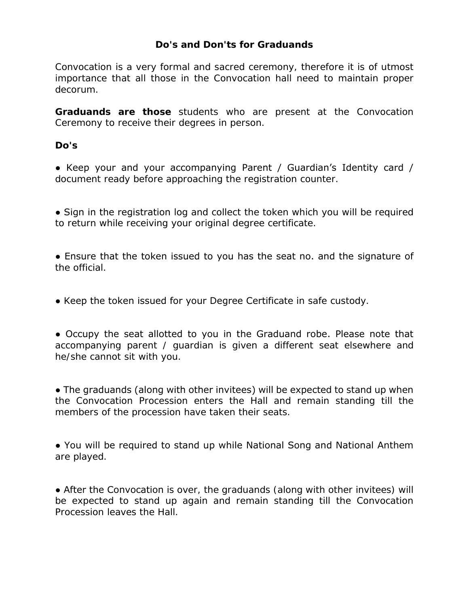## **Do's and Don'ts for Graduands**

Convocation is a very formal and sacred ceremony, therefore it is of utmost importance that all those in the Convocation hall need to maintain proper decorum.

**Graduands are those** students who are present at the Convocation Ceremony to receive their degrees in person.

## **Do's**

• Keep your and your accompanying Parent / Guardian's Identity card / document ready before approaching the registration counter.

• Sign in the registration log and collect the token which you will be required to return while receiving your original degree certificate.

• Ensure that the token issued to you has the seat no. and the signature of the official.

• Keep the token issued for your Degree Certificate in safe custody.

• Occupy the seat allotted to you in the Graduand robe. Please note that accompanying parent / guardian is given a different seat elsewhere and he/she cannot sit with you.

• The graduands (along with other invitees) will be expected to stand up when the Convocation Procession enters the Hall and remain standing till the members of the procession have taken their seats.

● You will be required to stand up while National Song and National Anthem are played.

• After the Convocation is over, the graduands (along with other invitees) will be expected to stand up again and remain standing till the Convocation Procession leaves the Hall.